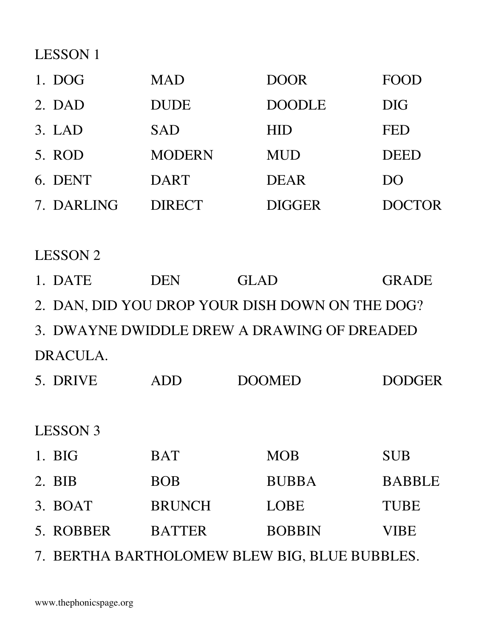LESSON 1

| 1. DOG     | <b>MAD</b>    | <b>DOOR</b>   | FOOD          |
|------------|---------------|---------------|---------------|
| 2. DAD     | <b>DUDE</b>   | <b>DOODLE</b> | <b>DIG</b>    |
| 3. LAD     | <b>SAD</b>    | <b>HID</b>    | <b>FED</b>    |
| 5. ROD     | <b>MODERN</b> | <b>MUD</b>    | <b>DEED</b>   |
| 6. DENT    | <b>DART</b>   | <b>DEAR</b>   | DO            |
| 7. DARLING | <b>DIRECT</b> | <b>DIGGER</b> | <b>DOCTOR</b> |

LESSON 2

| 1. DATE              | <b>DEN</b>    | <b>GLAD</b>                                     | <b>GRADE</b>  |
|----------------------|---------------|-------------------------------------------------|---------------|
|                      |               | 2. DAN, DID YOU DROP YOUR DISH DOWN ON THE DOG? |               |
|                      |               | 3. DWAYNE DWIDDLE DREW A DRAWING OF DREADED     |               |
| DRACULA.             |               |                                                 |               |
| 5. DRIVE             | <b>ADD</b>    | <b>DOOMED</b>                                   | <b>DODGER</b> |
|                      |               |                                                 |               |
| <b>LESSON 3</b>      |               |                                                 |               |
| $1. \overline{B}$ IG | <b>BAT</b>    | <b>MOB</b>                                      | <b>SUB</b>    |
| $2.$ BIB             | <b>BOB</b>    | <b>BUBBA</b>                                    | <b>BABBLE</b> |
| 3. BOAT              | <b>BRUNCH</b> | <b>LOBE</b>                                     | <b>TUBE</b>   |
| 5. ROBBER            | <b>BATTER</b> | <b>BOBBIN</b>                                   | <b>VIBE</b>   |
|                      |               |                                                 |               |

7. BERTHA BARTHOLOMEW BLEW BIG, BLUE BUBBLES.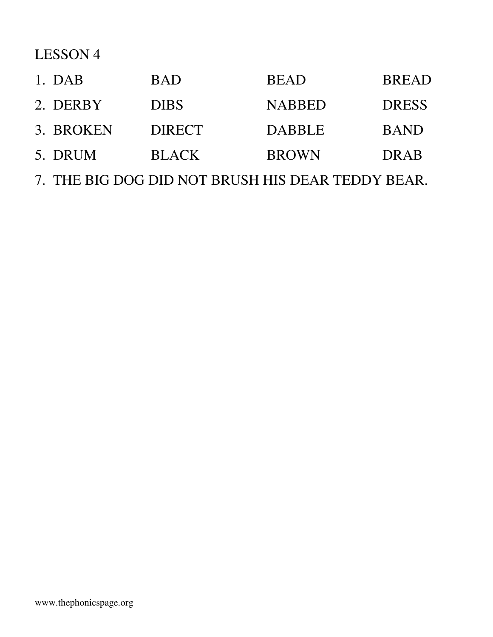# LESSON 4

| 1. DAB    | <b>BAD</b>    | <b>BEAD</b>   | <b>BREAD</b> |
|-----------|---------------|---------------|--------------|
| 2. DERBY  | <b>DIBS</b>   | <b>NABBED</b> | <b>DRESS</b> |
| 3. BROKEN | <b>DIRECT</b> | <b>DABBLE</b> | <b>BAND</b>  |
| 5. DRUM   | <b>BLACK</b>  | <b>BROWN</b>  | <b>DRAB</b>  |

7. THE BIG DOG DID NOT BRUSH HIS DEAR TEDDY BEAR.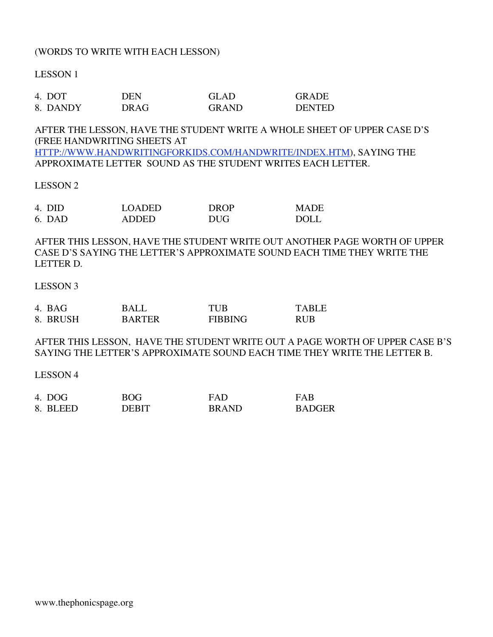#### (WORDS TO WRITE WITH EACH LESSON)

LESSON 1

| 4. DOT   | DEN  | GLAD         | <b>GRADE</b>  |
|----------|------|--------------|---------------|
| 8. DANDY | DRAG | <b>GRAND</b> | <b>DENTED</b> |

AFTER THE LESSON, HAVE THE STUDENT WRITE A WHOLE SHEET OF UPPER CASE D'S (FREE HANDWRITING SHEETS AT

HTTP://WWW.HANDWRITINGFORKIDS.COM/HANDWRITE/INDEX.HTM), SAYING THE APPROXIMATE LETTER SOUND AS THE STUDENT WRITES EACH LETTER.

#### LESSON 2

| 4. DID | <b>LOADED</b> | <b>DROP</b> | <b>MADE</b> |
|--------|---------------|-------------|-------------|
| 6. DAD | ADDED         | <b>DUG</b>  | <b>DOLL</b> |

AFTER THIS LESSON, HAVE THE STUDENT WRITE OUT ANOTHER PAGE WORTH OF UPPER CASE D'S SAYING THE LETTER'S APPROXIMATE SOUND EACH TIME THEY WRITE THE LETTER D.

#### LESSON 3

| 4. BAG   | <b>BALL</b>   | TUB            | <b>TARLE</b> |
|----------|---------------|----------------|--------------|
| 8. BRUSH | <b>BARTER</b> | <b>FIBBING</b> | <b>RUB</b>   |

AFTER THIS LESSON, HAVE THE STUDENT WRITE OUT A PAGE WORTH OF UPPER CASE B'S SAYING THE LETTER'S APPROXIMATE SOUND EACH TIME THEY WRITE THE LETTER B.

LESSON 4

| 4. DOG   | <b>BOG</b> | <b>FAD</b>   | FAR           |
|----------|------------|--------------|---------------|
| 8. BLEED | DERIT      | <b>BRAND</b> | <b>BADGER</b> |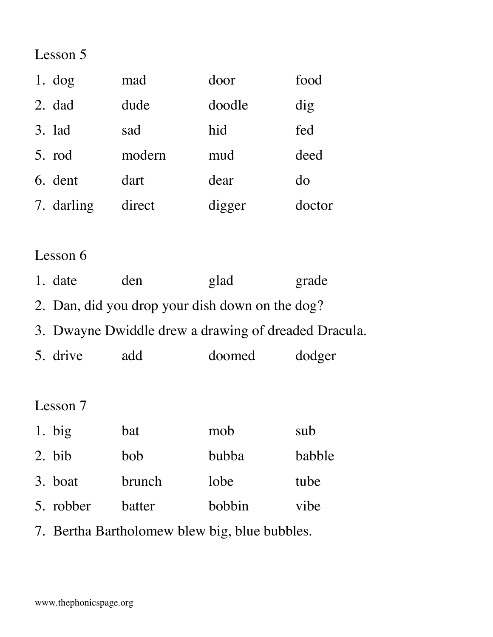Lesson 5

| 1. $\log$ |            | mad    | door   | food   |
|-----------|------------|--------|--------|--------|
| 2. dad    |            | dude   | doodle | dig    |
| 3. lad    |            | sad    | hid    | fed    |
| 5. rod    |            | modern | mud    | deed   |
| 6. dent   |            | dart   | dear   | do     |
|           | 7. darling | direct | digger | doctor |

## Lesson 6

|  | 1. date | den | glad | grade |
|--|---------|-----|------|-------|
|--|---------|-----|------|-------|

- 2. Dan, did you drop your dish down on the dog?
- 3. Dwayne Dwiddle drew a drawing of dreaded Dracula.
- 5. drive add doomed dodger

### Lesson 7

| 1. big              | bat           | mob    | sub    |
|---------------------|---------------|--------|--------|
| $2.~\overline{bib}$ | bob           | bubba  | babble |
| 3. boat             | <b>brunch</b> | lobe   | tube   |
| 5. robber           | batter        | bobbin | vibe   |

7. Bertha Bartholomew blew big, blue bubbles.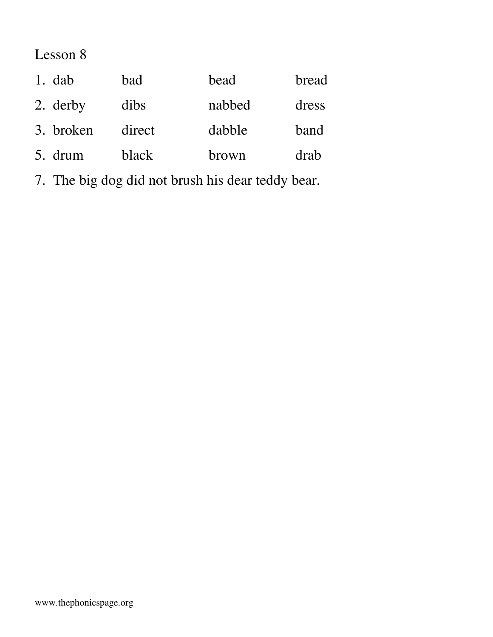## Lesson 8

| 1. $dab$  | bad    | bead   | bread |
|-----------|--------|--------|-------|
| 2. derby  | dibs   | nabbed | dress |
| 3. broken | direct | dabble | band  |
| 5. drum   | black  | brown  | drab  |

7. The big dog did not brush his dear teddy bear.